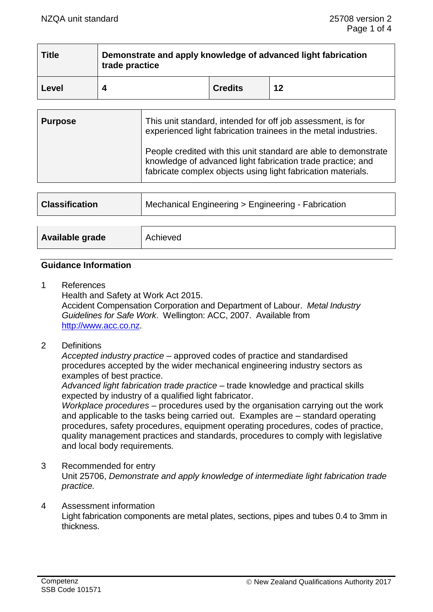| <b>Title</b> | Demonstrate and apply knowledge of advanced light fabrication<br>trade practice |                |    |
|--------------|---------------------------------------------------------------------------------|----------------|----|
| Level        |                                                                                 | <b>Credits</b> | 12 |

| <b>Purpose</b> | This unit standard, intended for off job assessment, is for<br>experienced light fabrication trainees in the metal industries.                                                                 |  |
|----------------|------------------------------------------------------------------------------------------------------------------------------------------------------------------------------------------------|--|
|                | People credited with this unit standard are able to demonstrate<br>knowledge of advanced light fabrication trade practice; and<br>fabricate complex objects using light fabrication materials. |  |

| <b>Classification</b> | Mechanical Engineering > Engineering - Fabrication |  |
|-----------------------|----------------------------------------------------|--|
|                       |                                                    |  |
| Available grade       | Achieved                                           |  |

#### **Guidance Information**

- 1 References Health and Safety at Work Act 2015. Accident Compensation Corporation and Department of Labour. *Metal Industry Guidelines for Safe Work*. Wellington: ACC, 2007. Available from [http://www.acc.co.nz.](http://www.acc.co.nz/)
- 2 Definitions

*Accepted industry practice –* approved codes of practice and standardised procedures accepted by the wider mechanical engineering industry sectors as examples of best practice.

*Advanced light fabrication trade practice* – trade knowledge and practical skills expected by industry of a qualified light fabricator.

*Workplace procedures –* procedures used by the organisation carrying out the work and applicable to the tasks being carried out. Examples are – standard operating procedures, safety procedures, equipment operating procedures, codes of practice, quality management practices and standards, procedures to comply with legislative and local body requirements*.*

- 3 Recommended for entry Unit 25706, *Demonstrate and apply knowledge of intermediate light fabrication trade practice.*
- 4 Assessment information Light fabrication components are metal plates, sections, pipes and tubes 0.4 to 3mm in thickness.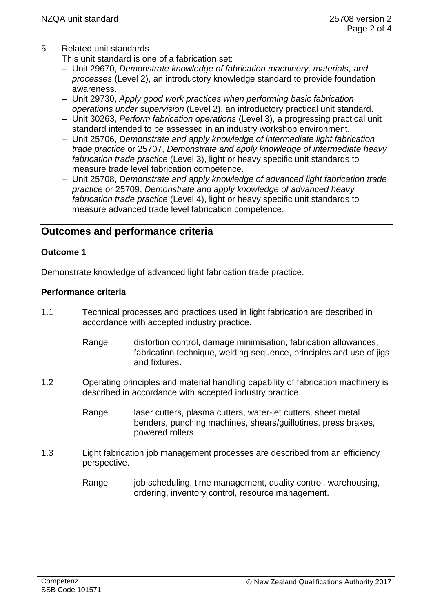# 5 Related unit standards

This unit standard is one of a fabrication set:

- Unit 29670, *Demonstrate knowledge of fabrication machinery, materials, and processes* (Level 2), an introductory knowledge standard to provide foundation awareness.
- Unit 29730, *Apply good work practices when performing basic fabrication operations under supervision* (Level 2), an introductory practical unit standard.
- Unit 30263, *Perform fabrication operations* (Level 3), a progressing practical unit standard intended to be assessed in an industry workshop environment.
- Unit 25706, *Demonstrate and apply knowledge of intermediate light fabrication trade practice* or 25707, *Demonstrate and apply knowledge of intermediate heavy fabrication trade practice* (Level 3), light or heavy specific unit standards to measure trade level fabrication competence.
- Unit 25708, *Demonstrate and apply knowledge of advanced light fabrication trade practice* or 25709, *Demonstrate and apply knowledge of advanced heavy fabrication trade practice* (Level 4), light or heavy specific unit standards to measure advanced trade level fabrication competence.

# **Outcomes and performance criteria**

## **Outcome 1**

Demonstrate knowledge of advanced light fabrication trade practice.

## **Performance criteria**

- 1.1 Technical processes and practices used in light fabrication are described in accordance with accepted industry practice.
	- Range distortion control, damage minimisation, fabrication allowances, fabrication technique, welding sequence, principles and use of jigs and fixtures.
- 1.2 Operating principles and material handling capability of fabrication machinery is described in accordance with accepted industry practice.
	- Range laser cutters, plasma cutters, water-jet cutters, sheet metal benders, punching machines, shears/guillotines, press brakes, powered rollers.
- 1.3 Light fabrication job management processes are described from an efficiency perspective.
	- Range job scheduling, time management, quality control, warehousing, ordering, inventory control, resource management.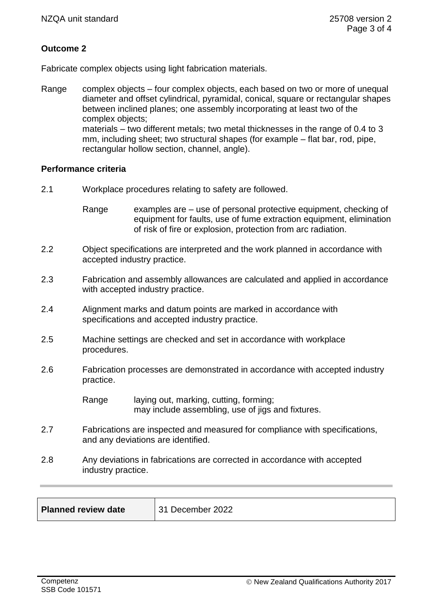# **Outcome 2**

Fabricate complex objects using light fabrication materials.

Range complex objects – four complex objects, each based on two or more of unequal diameter and offset cylindrical, pyramidal, conical, square or rectangular shapes between inclined planes; one assembly incorporating at least two of the complex objects; materials – two different metals; two metal thicknesses in the range of 0.4 to 3 mm, including sheet; two structural shapes (for example – flat bar, rod, pipe, rectangular hollow section, channel, angle).

#### **Performance criteria**

- 2.1 Workplace procedures relating to safety are followed.
	- Range examples are  $-$  use of personal protective equipment, checking of equipment for faults, use of fume extraction equipment, elimination of risk of fire or explosion, protection from arc radiation.
- 2.2 Object specifications are interpreted and the work planned in accordance with accepted industry practice.
- 2.3 Fabrication and assembly allowances are calculated and applied in accordance with accepted industry practice.
- 2.4 Alignment marks and datum points are marked in accordance with specifications and accepted industry practice.
- 2.5 Machine settings are checked and set in accordance with workplace procedures.
- 2.6 Fabrication processes are demonstrated in accordance with accepted industry practice.

Range laying out, marking, cutting, forming; may include assembling, use of jigs and fixtures.

- 2.7 Fabrications are inspected and measured for compliance with specifications, and any deviations are identified.
- 2.8 Any deviations in fabrications are corrected in accordance with accepted industry practice.

| <b>Planned review date</b> | 31 December 2022 |
|----------------------------|------------------|
|                            |                  |